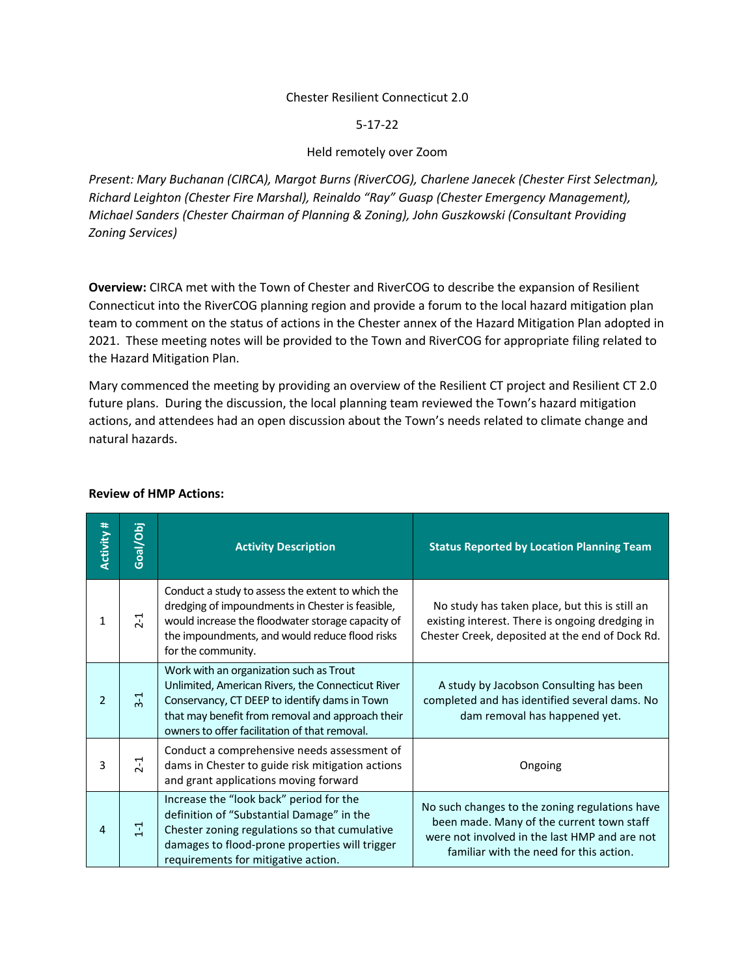#### Chester Resilient Connecticut 2.0

#### 5-17-22

# Held remotely over Zoom

*Present: Mary Buchanan (CIRCA), Margot Burns (RiverCOG), Charlene Janecek (Chester First Selectman), Richard Leighton (Chester Fire Marshal), Reinaldo "Ray" Guasp (Chester Emergency Management), Michael Sanders (Chester Chairman of Planning & Zoning), John Guszkowski (Consultant Providing Zoning Services)*

**Overview:** CIRCA met with the Town of Chester and RiverCOG to describe the expansion of Resilient Connecticut into the RiverCOG planning region and provide a forum to the local hazard mitigation plan team to comment on the status of actions in the Chester annex of the Hazard Mitigation Plan adopted in 2021. These meeting notes will be provided to the Town and RiverCOG for appropriate filing related to the Hazard Mitigation Plan.

Mary commenced the meeting by providing an overview of the Resilient CT project and Resilient CT 2.0 future plans. During the discussion, the local planning team reviewed the Town's hazard mitigation actions, and attendees had an open discussion about the Town's needs related to climate change and natural hazards.

| <b>Activity #</b> | Goal/Obj          | <b>Activity Description</b>                                                                                                                                                                                                                        | <b>Status Reported by Location Planning Team</b>                                                                                                                                        |
|-------------------|-------------------|----------------------------------------------------------------------------------------------------------------------------------------------------------------------------------------------------------------------------------------------------|-----------------------------------------------------------------------------------------------------------------------------------------------------------------------------------------|
| 1                 | $\overline{21}$   | Conduct a study to assess the extent to which the<br>dredging of impoundments in Chester is feasible,<br>would increase the floodwater storage capacity of<br>the impoundments, and would reduce flood risks<br>for the community.                 | No study has taken place, but this is still an<br>existing interest. There is ongoing dredging in<br>Chester Creek, deposited at the end of Dock Rd.                                    |
| $\mathfrak{D}$    | $\frac{1}{2}$     | Work with an organization such as Trout<br>Unlimited, American Rivers, the Connecticut River<br>Conservancy, CT DEEP to identify dams in Town<br>that may benefit from removal and approach their<br>owners to offer facilitation of that removal. | A study by Jacobson Consulting has been<br>completed and has identified several dams. No<br>dam removal has happened yet.                                                               |
| 3                 | $2-1$             | Conduct a comprehensive needs assessment of<br>dams in Chester to guide risk mitigation actions<br>and grant applications moving forward                                                                                                           | Ongoing                                                                                                                                                                                 |
| $\overline{4}$    | $\overline{1}$ -1 | Increase the "look back" period for the<br>definition of "Substantial Damage" in the<br>Chester zoning regulations so that cumulative<br>damages to flood-prone properties will trigger<br>requirements for mitigative action.                     | No such changes to the zoning regulations have<br>been made. Many of the current town staff<br>were not involved in the last HMP and are not<br>familiar with the need for this action. |

# **Review of HMP Actions:**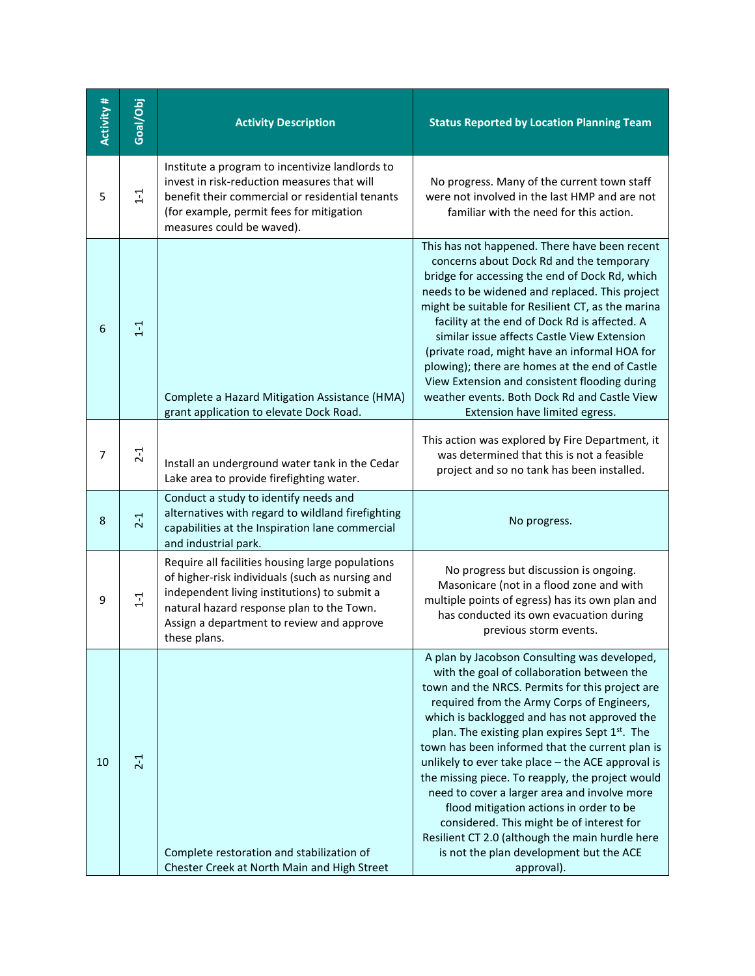| Activity # | Goal/Obj | <b>Activity Description</b>                                                                                                                                                                                                                                   | <b>Status Reported by Location Planning Team</b>                                                                                                                                                                                                                                                                                                                                                                                                                                                                                                                                                                                                                                                                          |
|------------|----------|---------------------------------------------------------------------------------------------------------------------------------------------------------------------------------------------------------------------------------------------------------------|---------------------------------------------------------------------------------------------------------------------------------------------------------------------------------------------------------------------------------------------------------------------------------------------------------------------------------------------------------------------------------------------------------------------------------------------------------------------------------------------------------------------------------------------------------------------------------------------------------------------------------------------------------------------------------------------------------------------------|
| 5          | $1 - 1$  | Institute a program to incentivize landlords to<br>invest in risk-reduction measures that will<br>benefit their commercial or residential tenants<br>(for example, permit fees for mitigation<br>measures could be waved).                                    | No progress. Many of the current town staff<br>were not involved in the last HMP and are not<br>familiar with the need for this action.                                                                                                                                                                                                                                                                                                                                                                                                                                                                                                                                                                                   |
| 6          | $1 - 1$  | Complete a Hazard Mitigation Assistance (HMA)<br>grant application to elevate Dock Road.                                                                                                                                                                      | This has not happened. There have been recent<br>concerns about Dock Rd and the temporary<br>bridge for accessing the end of Dock Rd, which<br>needs to be widened and replaced. This project<br>might be suitable for Resilient CT, as the marina<br>facility at the end of Dock Rd is affected. A<br>similar issue affects Castle View Extension<br>(private road, might have an informal HOA for<br>plowing); there are homes at the end of Castle<br>View Extension and consistent flooding during<br>weather events. Both Dock Rd and Castle View<br>Extension have limited egress.                                                                                                                                  |
| 7          | $2 - 1$  | Install an underground water tank in the Cedar<br>Lake area to provide firefighting water.                                                                                                                                                                    | This action was explored by Fire Department, it<br>was determined that this is not a feasible<br>project and so no tank has been installed.                                                                                                                                                                                                                                                                                                                                                                                                                                                                                                                                                                               |
| 8          | $2 - 1$  | Conduct a study to identify needs and<br>alternatives with regard to wildland firefighting<br>capabilities at the Inspiration lane commercial<br>and industrial park.                                                                                         | No progress.                                                                                                                                                                                                                                                                                                                                                                                                                                                                                                                                                                                                                                                                                                              |
| 9          | $1 - 1$  | Require all facilities housing large populations<br>of higher-risk individuals (such as nursing and<br>independent living institutions) to submit a<br>natural hazard response plan to the Town.<br>Assign a department to review and approve<br>these plans. | No progress but discussion is ongoing.<br>Masonicare (not in a flood zone and with<br>multiple points of egress) has its own plan and<br>has conducted its own evacuation during<br>previous storm events.                                                                                                                                                                                                                                                                                                                                                                                                                                                                                                                |
| 10         | $2 - 1$  | Complete restoration and stabilization of<br>Chester Creek at North Main and High Street                                                                                                                                                                      | A plan by Jacobson Consulting was developed,<br>with the goal of collaboration between the<br>town and the NRCS. Permits for this project are<br>required from the Army Corps of Engineers,<br>which is backlogged and has not approved the<br>plan. The existing plan expires Sept 1 <sup>st</sup> . The<br>town has been informed that the current plan is<br>unlikely to ever take place - the ACE approval is<br>the missing piece. To reapply, the project would<br>need to cover a larger area and involve more<br>flood mitigation actions in order to be<br>considered. This might be of interest for<br>Resilient CT 2.0 (although the main hurdle here<br>is not the plan development but the ACE<br>approval). |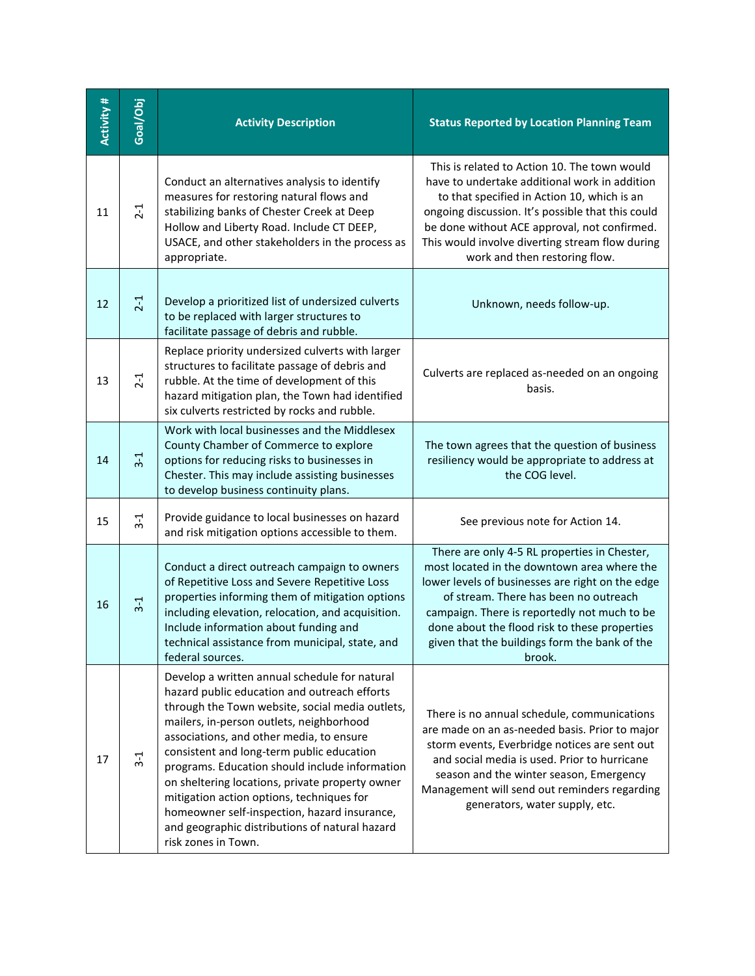| Activity # | Goal/Obj | <b>Activity Description</b>                                                                                                                                                                                                                                                                                                                                                                                                                                                                                                                                      | <b>Status Reported by Location Planning Team</b>                                                                                                                                                                                                                                                                                                     |
|------------|----------|------------------------------------------------------------------------------------------------------------------------------------------------------------------------------------------------------------------------------------------------------------------------------------------------------------------------------------------------------------------------------------------------------------------------------------------------------------------------------------------------------------------------------------------------------------------|------------------------------------------------------------------------------------------------------------------------------------------------------------------------------------------------------------------------------------------------------------------------------------------------------------------------------------------------------|
| 11         | $2 - 1$  | Conduct an alternatives analysis to identify<br>measures for restoring natural flows and<br>stabilizing banks of Chester Creek at Deep<br>Hollow and Liberty Road. Include CT DEEP,<br>USACE, and other stakeholders in the process as<br>appropriate.                                                                                                                                                                                                                                                                                                           | This is related to Action 10. The town would<br>have to undertake additional work in addition<br>to that specified in Action 10, which is an<br>ongoing discussion. It's possible that this could<br>be done without ACE approval, not confirmed.<br>This would involve diverting stream flow during<br>work and then restoring flow.                |
| 12         | $2-1$    | Develop a prioritized list of undersized culverts<br>to be replaced with larger structures to<br>facilitate passage of debris and rubble.                                                                                                                                                                                                                                                                                                                                                                                                                        | Unknown, needs follow-up.                                                                                                                                                                                                                                                                                                                            |
| 13         | $2 - 1$  | Replace priority undersized culverts with larger<br>structures to facilitate passage of debris and<br>rubble. At the time of development of this<br>hazard mitigation plan, the Town had identified<br>six culverts restricted by rocks and rubble.                                                                                                                                                                                                                                                                                                              | Culverts are replaced as-needed on an ongoing<br>basis.                                                                                                                                                                                                                                                                                              |
| 14         | $3-1$    | Work with local businesses and the Middlesex<br>County Chamber of Commerce to explore<br>options for reducing risks to businesses in<br>Chester. This may include assisting businesses<br>to develop business continuity plans.                                                                                                                                                                                                                                                                                                                                  | The town agrees that the question of business<br>resiliency would be appropriate to address at<br>the COG level.                                                                                                                                                                                                                                     |
| 15         | $3-1$    | Provide guidance to local businesses on hazard<br>and risk mitigation options accessible to them.                                                                                                                                                                                                                                                                                                                                                                                                                                                                | See previous note for Action 14.                                                                                                                                                                                                                                                                                                                     |
| 16         | $3 - 1$  | Conduct a direct outreach campaign to owners<br>of Repetitive Loss and Severe Repetitive Loss<br>properties informing them of mitigation options<br>including elevation, relocation, and acquisition.<br>Include information about funding and<br>technical assistance from municipal, state, and<br>federal sources.                                                                                                                                                                                                                                            | There are only 4-5 RL properties in Chester,<br>most located in the downtown area where the<br>lower levels of businesses are right on the edge<br>of stream. There has been no outreach<br>campaign. There is reportedly not much to be<br>done about the flood risk to these properties<br>given that the buildings form the bank of the<br>brook. |
| 17         | $3 - 1$  | Develop a written annual schedule for natural<br>hazard public education and outreach efforts<br>through the Town website, social media outlets,<br>mailers, in-person outlets, neighborhood<br>associations, and other media, to ensure<br>consistent and long-term public education<br>programs. Education should include information<br>on sheltering locations, private property owner<br>mitigation action options, techniques for<br>homeowner self-inspection, hazard insurance,<br>and geographic distributions of natural hazard<br>risk zones in Town. | There is no annual schedule, communications<br>are made on an as-needed basis. Prior to major<br>storm events, Everbridge notices are sent out<br>and social media is used. Prior to hurricane<br>season and the winter season, Emergency<br>Management will send out reminders regarding<br>generators, water supply, etc.                          |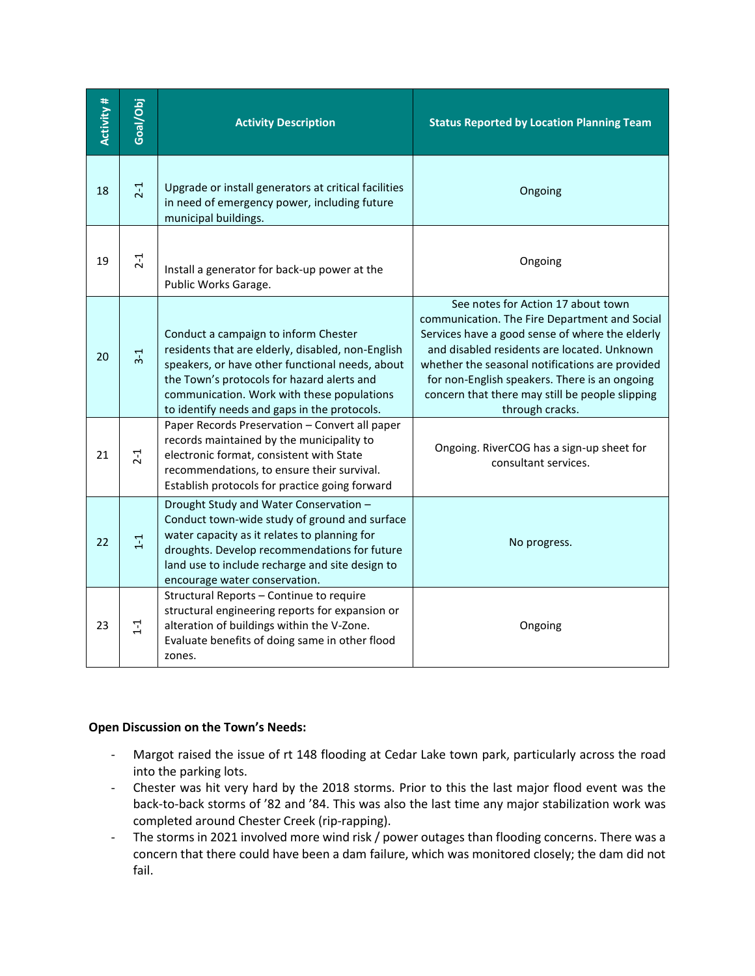| Activity # | Goal/Obj | <b>Activity Description</b>                                                                                                                                                                                                                                                              | <b>Status Reported by Location Planning Team</b>                                                                                                                                                                                                                                                                                                                |
|------------|----------|------------------------------------------------------------------------------------------------------------------------------------------------------------------------------------------------------------------------------------------------------------------------------------------|-----------------------------------------------------------------------------------------------------------------------------------------------------------------------------------------------------------------------------------------------------------------------------------------------------------------------------------------------------------------|
| 18         | $2 - 1$  | Upgrade or install generators at critical facilities<br>in need of emergency power, including future<br>municipal buildings.                                                                                                                                                             | Ongoing                                                                                                                                                                                                                                                                                                                                                         |
| 19         | $2-1$    | Install a generator for back-up power at the<br>Public Works Garage.                                                                                                                                                                                                                     | Ongoing                                                                                                                                                                                                                                                                                                                                                         |
| 20         | $3-1$    | Conduct a campaign to inform Chester<br>residents that are elderly, disabled, non-English<br>speakers, or have other functional needs, about<br>the Town's protocols for hazard alerts and<br>communication. Work with these populations<br>to identify needs and gaps in the protocols. | See notes for Action 17 about town<br>communication. The Fire Department and Social<br>Services have a good sense of where the elderly<br>and disabled residents are located. Unknown<br>whether the seasonal notifications are provided<br>for non-English speakers. There is an ongoing<br>concern that there may still be people slipping<br>through cracks. |
| 21         | $2 - 1$  | Paper Records Preservation - Convert all paper<br>records maintained by the municipality to<br>electronic format, consistent with State<br>recommendations, to ensure their survival.<br>Establish protocols for practice going forward                                                  | Ongoing. RiverCOG has a sign-up sheet for<br>consultant services.                                                                                                                                                                                                                                                                                               |
| 22         | $1 - 1$  | Drought Study and Water Conservation -<br>Conduct town-wide study of ground and surface<br>water capacity as it relates to planning for<br>droughts. Develop recommendations for future<br>land use to include recharge and site design to<br>encourage water conservation.              | No progress.                                                                                                                                                                                                                                                                                                                                                    |
| 23         | $1 - 1$  | Structural Reports - Continue to require<br>structural engineering reports for expansion or<br>alteration of buildings within the V-Zone.<br>Evaluate benefits of doing same in other flood<br>zones.                                                                                    | Ongoing                                                                                                                                                                                                                                                                                                                                                         |

# **Open Discussion on the Town's Needs:**

- Margot raised the issue of rt 148 flooding at Cedar Lake town park, particularly across the road into the parking lots.
- Chester was hit very hard by the 2018 storms. Prior to this the last major flood event was the back-to-back storms of '82 and '84. This was also the last time any major stabilization work was completed around Chester Creek (rip-rapping).
- The storms in 2021 involved more wind risk / power outages than flooding concerns. There was a concern that there could have been a dam failure, which was monitored closely; the dam did not fail.